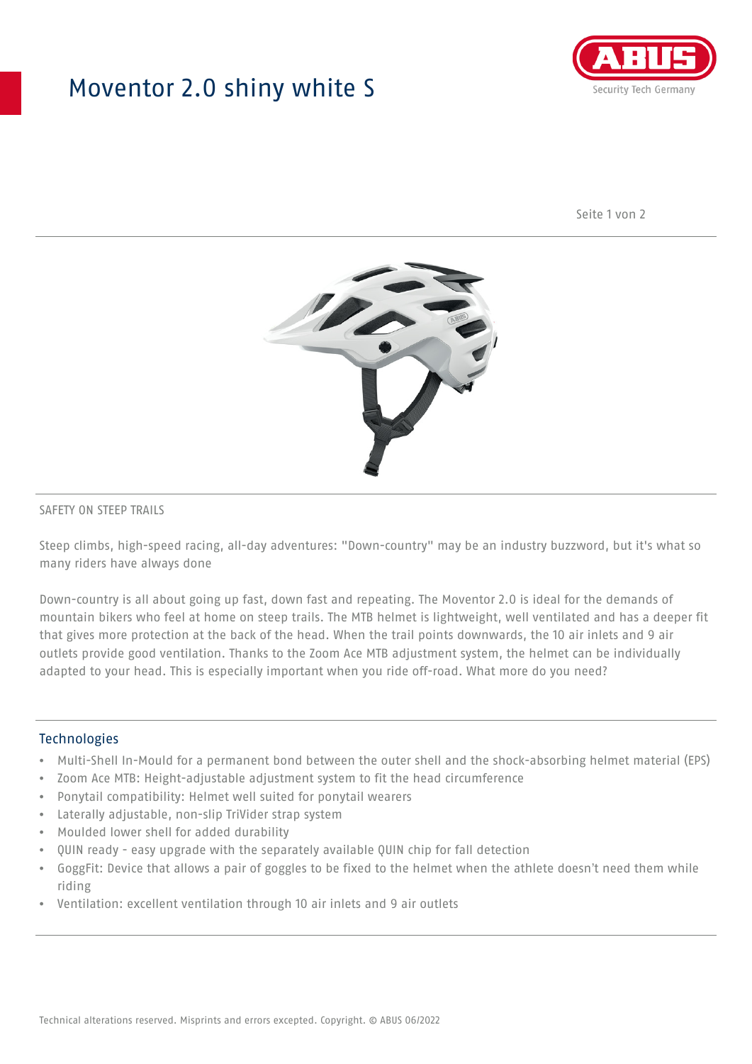## Moventor 2.0 shiny white S



Seite 1 von 2



#### SAFETY ON STEEP TRAILS

Steep climbs, high-speed racing, all-day adventures: "Down-country" may be an industry buzzword, but it's what so many riders have always done

Down-country is all about going up fast, down fast and repeating. The Moventor 2.0 is ideal for the demands of mountain bikers who feel at home on steep trails. The MTB helmet is lightweight, well ventilated and has a deeper fit that gives more protection at the back of the head. When the trail points downwards, the 10 air inlets and 9 air outlets provide good ventilation. Thanks to the Zoom Ace MTB adjustment system, the helmet can be individually adapted to your head. This is especially important when you ride off-road. What more do you need?

#### **Technologies**

- Multi-Shell In-Mould for a permanent bond between the outer shell and the shock-absorbing helmet material (EPS)
- Zoom Ace MTB: Height-adjustable adjustment system to fit the head circumference
- Ponytail compatibility: Helmet well suited for ponytail wearers
- Laterally adjustable, non-slip TriVider strap system
- Moulded lower shell for added durability
- QUIN ready easy upgrade with the separately available QUIN chip for fall detection
- GoggFit: Device that allows a pair of goggles to be fixed to the helmet when the athlete doesn't need them while riding
- Ventilation: excellent ventilation through 10 air inlets and 9 air outlets